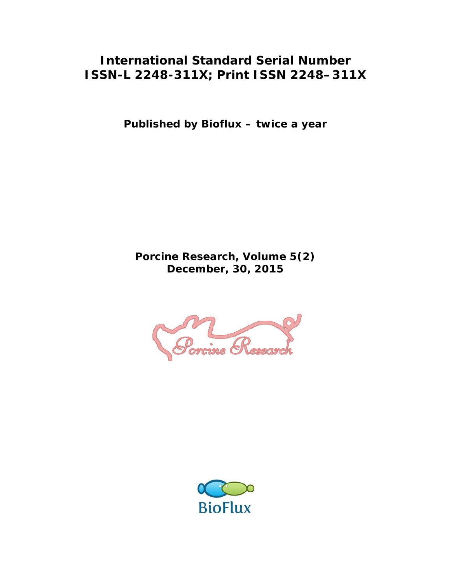### **International Standard Serial Number ISSN-L 2248-311X; Print ISSN 2248–311X**

**Published by Bioflux – twice a year** 

**Porcine Research, Volume 5(2) December, 30, 2015** 



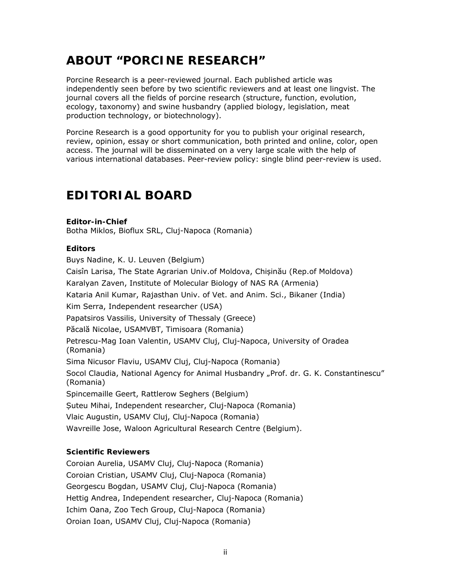# **ABOUT "PORCINE RESEARCH"**

Porcine Research is a peer-reviewed journal. Each published article was independently seen before by two scientific reviewers and at least one lingvist. The journal covers all the fields of porcine research (structure, function, evolution, ecology, taxonomy) and swine husbandry (applied biology, legislation, meat production technology, or biotechnology).

Porcine Research is a good opportunity for you to publish your original research, review, opinion, essay or short communication, both printed and online, color, open access. The journal will be disseminated on a very large scale with the help of various international databases. Peer-review policy: single blind peer-review is used.

# **EDITORIAL BOARD**

#### **Editor-in-Chief**

Botha Miklos, Bioflux SRL, Cluj-Napoca (Romania)

#### **Editors**

Buys Nadine, K. U. Leuven (Belgium) Caisîn Larisa, The State Agrarian Univ.of Moldova, Chișinău (Rep.of Moldova) Karalyan Zaven, Institute of Molecular Biology of NAS RA (Armenia) Kataria Anil Kumar, Rajasthan Univ. of Vet. and Anim. Sci., Bikaner (India) Kim Serra, Independent researcher (USA) Papatsiros Vassilis, University of Thessaly (Greece) Păcală Nicolae, USAMVBT, Timisoara (Romania) Petrescu-Mag Ioan Valentin, USAMV Cluj, Cluj-Napoca, University of Oradea (Romania) Sima Nicusor Flaviu, USAMV Cluj, Cluj-Napoca (Romania) Socol Claudia, National Agency for Animal Husbandry "Prof. dr. G. K. Constantinescu" (Romania) Spincemaille Geert, Rattlerow Seghers (Belgium) Suteu Mihai, Independent researcher, Cluj-Napoca (Romania) Vlaic Augustin, USAMV Cluj, Cluj-Napoca (Romania) Wavreille Jose, Waloon Agricultural Research Centre (Belgium).

### **Scientific Reviewers**

Coroian Aurelia, USAMV Cluj, Cluj-Napoca (Romania) Coroian Cristian, USAMV Cluj, Cluj-Napoca (Romania) Georgescu Bogdan, USAMV Cluj, Cluj-Napoca (Romania) Hettig Andrea, Independent researcher, Cluj-Napoca (Romania) Ichim Oana, Zoo Tech Group, Cluj-Napoca (Romania) Oroian Ioan, USAMV Cluj, Cluj-Napoca (Romania)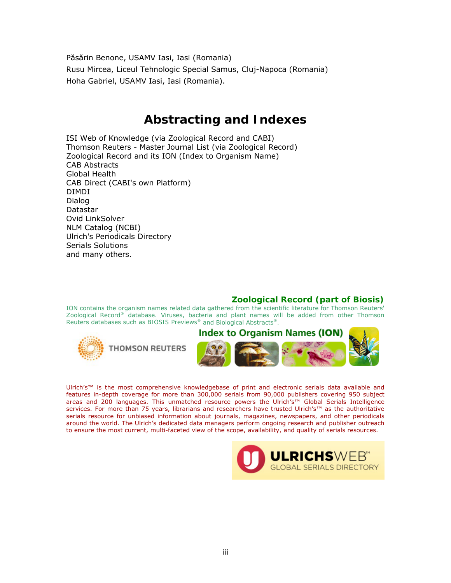Păsărin Benone, USAMV Iasi, Iasi (Romania) Rusu Mircea, Liceul Tehnologic Special Samus, Cluj-Napoca (Romania) Hoha Gabriel, USAMV Iasi, Iasi (Romania).

### **Abstracting and Indexes**

ISI Web of Knowledge (via Zoological Record and CABI) Thomson Reuters - Master Journal List (via Zoological Record) Zoological Record and its ION (Index to Organism Name) CAB Abstracts Global Health CAB Direct (CABI's own Platform) DIMDI Dialog Datastar Ovid LinkSolver NLM Catalog (NCBI) Ulrich's Periodicals Directory Serials Solutions and many others.

### **Zoological Record (part of Biosis)**

ION contains the organism names related data gathered from the scientific literature for Thomson Reuters' *Zoological Record®* database. Viruses, bacteria and plant names will be added from other Thomson Reuters databases such as *BIOSIS Previews®* and *Biological Abstracts®.*



Ulrich's™ is the most comprehensive knowledgebase of print and electronic serials data available and features in-depth coverage for more than 300,000 serials from 90,000 publishers covering 950 subject areas and 200 languages. This unmatched resource powers the Ulrich's™ Global Serials Intelligence services. For more than 75 years, librarians and researchers have trusted Ulrich's™ as the authoritative serials resource for unbiased information about journals, magazines, newspapers, and other periodicals around the world. The Ulrich's dedicated data managers perform ongoing research and publisher outreach to ensure the most current, multi-faceted view of the scope, availability, and quality of serials resources.